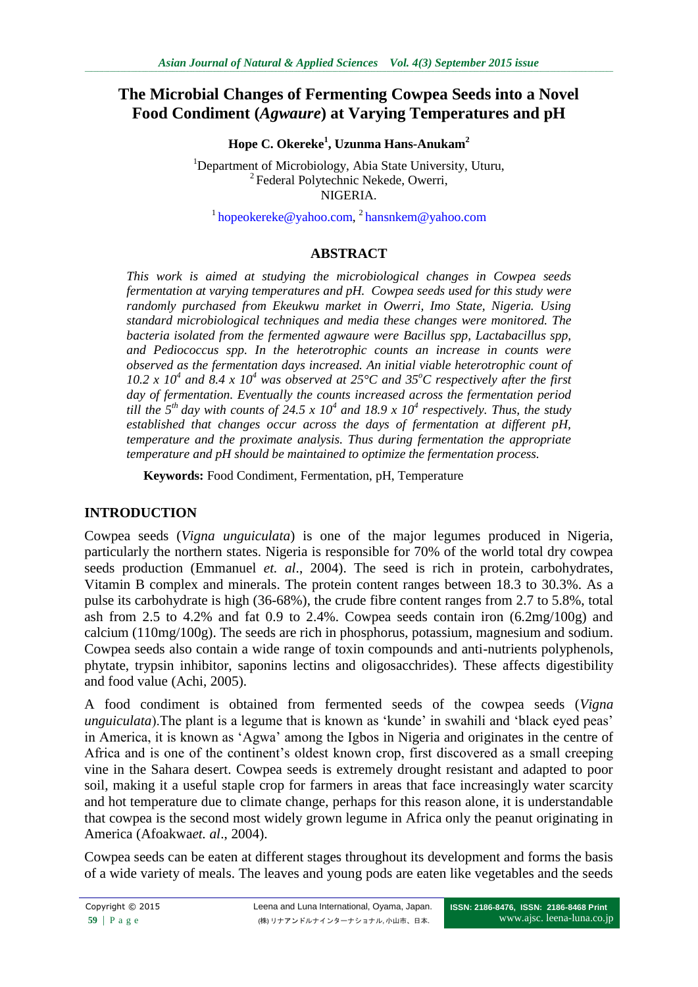# **The Microbial Changes of Fermenting Cowpea Seeds into a Novel Food Condiment (***Agwaure***) at Varying Temperatures and pH**

**Hope C. Okereke<sup>1</sup> , Uzunma Hans-Anukam<sup>2</sup>**

<sup>1</sup>Department of Microbiology, Abia State University, Uturu, <sup>2</sup> Federal Polytechnic Nekede, Owerri, NIGERIA.

<sup>1</sup>[hopeokereke@yahoo.com,](mailto:hopeokereke@yahoo.com) <sup>2</sup>[hansnkem@yahoo.com](mailto:hansnkem@yahoo.com)

## **ABSTRACT**

*This work is aimed at studying the microbiological changes in Cowpea seeds fermentation at varying temperatures and pH. Cowpea seeds used for this study were randomly purchased from Ekeukwu market in Owerri, Imo State, Nigeria. Using standard microbiological techniques and media these changes were monitored. The bacteria isolated from the fermented agwaure were Bacillus spp, Lactabacillus spp, and Pediococcus spp. In the heterotrophic counts an increase in counts were observed as the fermentation days increased. An initial viable heterotrophic count of*  10.2 x 10<sup>4</sup> and 8.4 x 10<sup>4</sup> was observed at 25 $\degree$ C and 35 $\degree$ C respectively after the first *day of fermentation. Eventually the counts increased across the fermentation period till the*  $5<sup>th</sup>$  day with counts of 24.5 x 10<sup>4</sup> and 18.9 x 10<sup>4</sup> respectively. Thus, the study *established that changes occur across the days of fermentation at different pH, temperature and the proximate analysis. Thus during fermentation the appropriate temperature and pH should be maintained to optimize the fermentation process.*

**Keywords:** Food Condiment, Fermentation, pH, Temperature

## **INTRODUCTION**

Cowpea seeds (*Vigna unguiculata*) is one of the major legumes produced in Nigeria, particularly the northern states. Nigeria is responsible for 70% of the world total dry cowpea seeds production (Emmanuel *et. al*., 2004). The seed is rich in protein, carbohydrates, Vitamin B complex and minerals. The protein content ranges between 18.3 to 30.3%. As a pulse its carbohydrate is high (36-68%), the crude fibre content ranges from 2.7 to 5.8%, total ash from 2.5 to 4.2% and fat 0.9 to 2.4%. Cowpea seeds contain iron (6.2mg/100g) and calcium (110mg/100g). The seeds are rich in phosphorus, potassium, magnesium and sodium. Cowpea seeds also contain a wide range of toxin compounds and anti-nutrients polyphenols, phytate, trypsin inhibitor, saponins lectins and oligosacchrides). These affects digestibility and food value (Achi, 2005).

A food condiment is obtained from fermented seeds of the cowpea seeds (*Vigna unguiculata*). The plant is a legume that is known as 'kunde' in swahili and 'black eyed peas' in America, it is known as "Agwa" among the Igbos in Nigeria and originates in the centre of Africa and is one of the continent's oldest known crop, first discovered as a small creeping vine in the Sahara desert. Cowpea seeds is extremely drought resistant and adapted to poor soil, making it a useful staple crop for farmers in areas that face increasingly water scarcity and hot temperature due to climate change, perhaps for this reason alone, it is understandable that cowpea is the second most widely grown legume in Africa only the peanut originating in America (Afoakwa*et. al*., 2004).

Cowpea seeds can be eaten at different stages throughout its development and forms the basis of a wide variety of meals. The leaves and young pods are eaten like vegetables and the seeds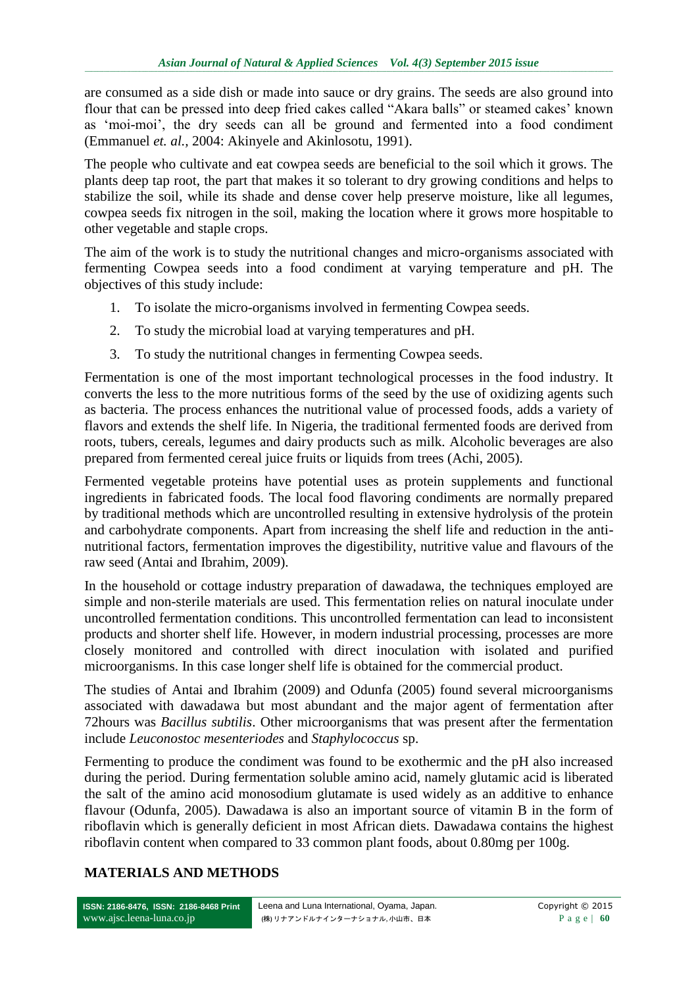are consumed as a side dish or made into sauce or dry grains. The seeds are also ground into flour that can be pressed into deep fried cakes called "Akara balls" or steamed cakes" known as "moi-moi", the dry seeds can all be ground and fermented into a food condiment (Emmanuel *et. al.,* 2004: Akinyele and Akinlosotu, 1991).

The people who cultivate and eat cowpea seeds are beneficial to the soil which it grows. The plants deep tap root, the part that makes it so tolerant to dry growing conditions and helps to stabilize the soil, while its shade and dense cover help preserve moisture, like all legumes, cowpea seeds fix nitrogen in the soil, making the location where it grows more hospitable to other vegetable and staple crops.

The aim of the work is to study the nutritional changes and micro-organisms associated with fermenting Cowpea seeds into a food condiment at varying temperature and pH. The objectives of this study include:

- 1. To isolate the micro-organisms involved in fermenting Cowpea seeds.
- 2. To study the microbial load at varying temperatures and pH.
- 3. To study the nutritional changes in fermenting Cowpea seeds.

Fermentation is one of the most important technological processes in the food industry. It converts the less to the more nutritious forms of the seed by the use of oxidizing agents such as bacteria. The process enhances the nutritional value of processed foods, adds a variety of flavors and extends the shelf life. In Nigeria, the traditional fermented foods are derived from roots, tubers, cereals, legumes and dairy products such as milk. Alcoholic beverages are also prepared from fermented cereal juice fruits or liquids from trees (Achi, 2005).

Fermented vegetable proteins have potential uses as protein supplements and functional ingredients in fabricated foods. The local food flavoring condiments are normally prepared by traditional methods which are uncontrolled resulting in extensive hydrolysis of the protein and carbohydrate components. Apart from increasing the shelf life and reduction in the antinutritional factors, fermentation improves the digestibility, nutritive value and flavours of the raw seed (Antai and Ibrahim, 2009).

In the household or cottage industry preparation of dawadawa, the techniques employed are simple and non-sterile materials are used. This fermentation relies on natural inoculate under uncontrolled fermentation conditions. This uncontrolled fermentation can lead to inconsistent products and shorter shelf life. However, in modern industrial processing, processes are more closely monitored and controlled with direct inoculation with isolated and purified microorganisms. In this case longer shelf life is obtained for the commercial product.

The studies of Antai and Ibrahim (2009) and Odunfa (2005) found several microorganisms associated with dawadawa but most abundant and the major agent of fermentation after 72hours was *Bacillus subtilis*. Other microorganisms that was present after the fermentation include *Leuconostoc mesenteriodes* and *Staphylococcus* sp.

Fermenting to produce the condiment was found to be exothermic and the pH also increased during the period. During fermentation soluble amino acid, namely glutamic acid is liberated the salt of the amino acid monosodium glutamate is used widely as an additive to enhance flavour (Odunfa, 2005). Dawadawa is also an important source of vitamin B in the form of riboflavin which is generally deficient in most African diets. Dawadawa contains the highest riboflavin content when compared to 33 common plant foods, about 0.80mg per 100g.

# **MATERIALS AND METHODS**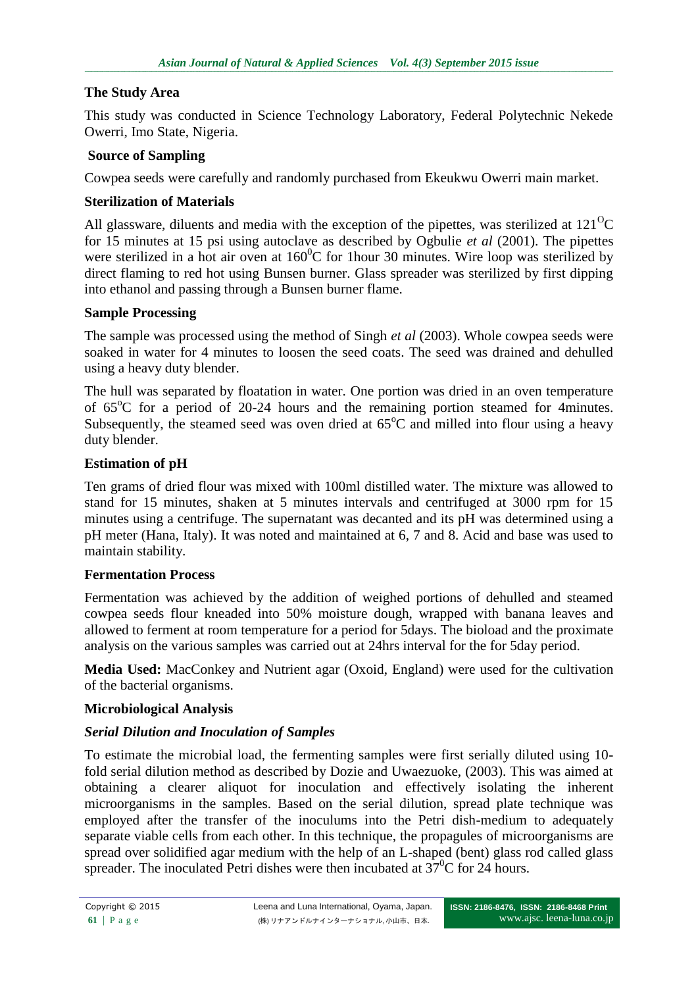### **The Study Area**

This study was conducted in Science Technology Laboratory, Federal Polytechnic Nekede Owerri, Imo State, Nigeria.

### **Source of Sampling**

Cowpea seeds were carefully and randomly purchased from Ekeukwu Owerri main market.

### **Sterilization of Materials**

All glassware, diluents and media with the exception of the pipettes, was sterilized at  $121^{\circ}$ C for 15 minutes at 15 psi using autoclave as described by Ogbulie *et al* (2001). The pipettes were sterilized in a hot air oven at  $160^{\circ}$ C for 1 hour 30 minutes. Wire loop was sterilized by direct flaming to red hot using Bunsen burner. Glass spreader was sterilized by first dipping into ethanol and passing through a Bunsen burner flame.

### **Sample Processing**

The sample was processed using the method of Singh *et al* (2003). Whole cowpea seeds were soaked in water for 4 minutes to loosen the seed coats. The seed was drained and dehulled using a heavy duty blender.

The hull was separated by floatation in water. One portion was dried in an oven temperature of  $65^{\circ}$ C for a period of 20-24 hours and the remaining portion steamed for 4minutes. Subsequently, the steamed seed was oven dried at  $65^{\circ}$ C and milled into flour using a heavy duty blender.

## **Estimation of pH**

Ten grams of dried flour was mixed with 100ml distilled water. The mixture was allowed to stand for 15 minutes, shaken at 5 minutes intervals and centrifuged at 3000 rpm for 15 minutes using a centrifuge. The supernatant was decanted and its pH was determined using a pH meter (Hana, Italy). It was noted and maintained at 6, 7 and 8. Acid and base was used to maintain stability.

#### **Fermentation Process**

Fermentation was achieved by the addition of weighed portions of dehulled and steamed cowpea seeds flour kneaded into 50% moisture dough, wrapped with banana leaves and allowed to ferment at room temperature for a period for 5days. The bioload and the proximate analysis on the various samples was carried out at 24hrs interval for the for 5day period.

**Media Used:** MacConkey and Nutrient agar (Oxoid, England) were used for the cultivation of the bacterial organisms.

#### **Microbiological Analysis**

## *Serial Dilution and Inoculation of Samples*

To estimate the microbial load, the fermenting samples were first serially diluted using 10 fold serial dilution method as described by Dozie and Uwaezuoke, (2003). This was aimed at obtaining a clearer aliquot for inoculation and effectively isolating the inherent microorganisms in the samples. Based on the serial dilution, spread plate technique was employed after the transfer of the inoculums into the Petri dish-medium to adequately separate viable cells from each other. In this technique, the propagules of microorganisms are spread over solidified agar medium with the help of an L-shaped (bent) glass rod called glass spreader. The inoculated Petri dishes were then incubated at  $37^{\circ}$ C for 24 hours.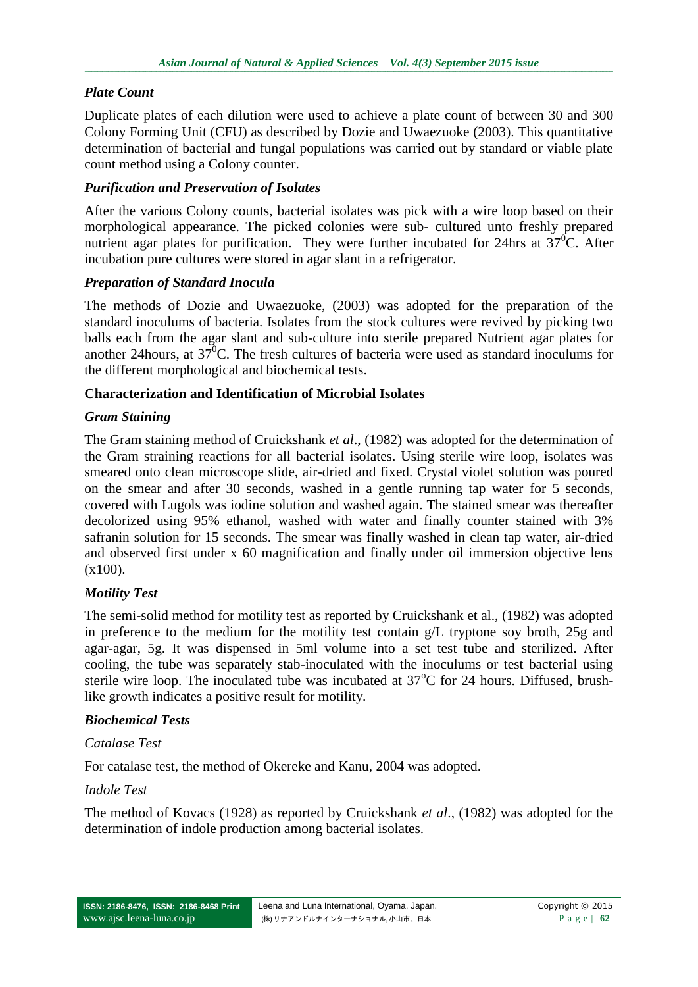## *Plate Count*

Duplicate plates of each dilution were used to achieve a plate count of between 30 and 300 Colony Forming Unit (CFU) as described by Dozie and Uwaezuoke (2003). This quantitative determination of bacterial and fungal populations was carried out by standard or viable plate count method using a Colony counter.

## *Purification and Preservation of Isolates*

After the various Colony counts, bacterial isolates was pick with a wire loop based on their morphological appearance. The picked colonies were sub- cultured unto freshly prepared nutrient agar plates for purification. They were further incubated for 24hrs at  $37^{\circ}$ C. After incubation pure cultures were stored in agar slant in a refrigerator.

## *Preparation of Standard Inocula*

The methods of Dozie and Uwaezuoke, (2003) was adopted for the preparation of the standard inoculums of bacteria. Isolates from the stock cultures were revived by picking two balls each from the agar slant and sub-culture into sterile prepared Nutrient agar plates for another 24 hours, at  $37^{\circ}$ C. The fresh cultures of bacteria were used as standard inoculums for the different morphological and biochemical tests.

### **Characterization and Identification of Microbial Isolates**

## *Gram Staining*

The Gram staining method of Cruickshank *et al*., (1982) was adopted for the determination of the Gram straining reactions for all bacterial isolates. Using sterile wire loop, isolates was smeared onto clean microscope slide, air-dried and fixed. Crystal violet solution was poured on the smear and after 30 seconds, washed in a gentle running tap water for 5 seconds, covered with Lugols was iodine solution and washed again. The stained smear was thereafter decolorized using 95% ethanol, washed with water and finally counter stained with 3% safranin solution for 15 seconds. The smear was finally washed in clean tap water, air-dried and observed first under x 60 magnification and finally under oil immersion objective lens (x100).

## *Motility Test*

The semi-solid method for motility test as reported by Cruickshank et al., (1982) was adopted in preference to the medium for the motility test contain g/L tryptone soy broth, 25g and agar-agar, 5g. It was dispensed in 5ml volume into a set test tube and sterilized. After cooling, the tube was separately stab-inoculated with the inoculums or test bacterial using sterile wire loop. The inoculated tube was incubated at  $37^{\circ}$ C for 24 hours. Diffused, brushlike growth indicates a positive result for motility.

## *Biochemical Tests*

## *Catalase Test*

For catalase test, the method of Okereke and Kanu, 2004 was adopted.

## *Indole Test*

The method of Kovacs (1928) as reported by Cruickshank *et al*., (1982) was adopted for the determination of indole production among bacterial isolates.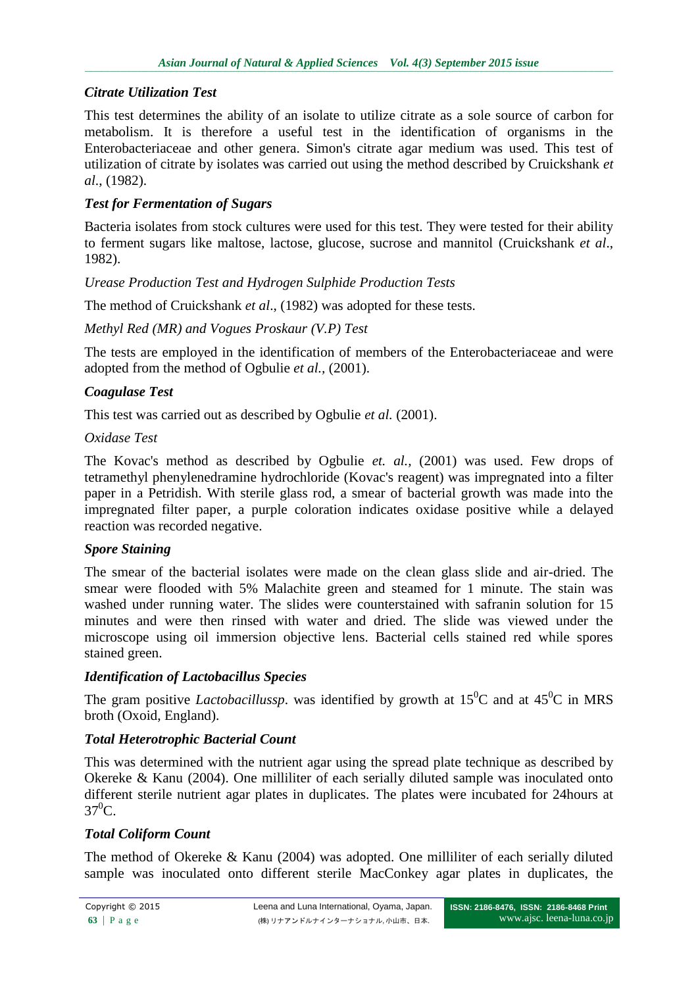# *Citrate Utilization Test*

This test determines the ability of an isolate to utilize citrate as a sole source of carbon for metabolism. It is therefore a useful test in the identification of organisms in the Enterobacteriaceae and other genera. Simon's citrate agar medium was used. This test of utilization of citrate by isolates was carried out using the method described by Cruickshank *et al*., (1982).

# *Test for Fermentation of Sugars*

Bacteria isolates from stock cultures were used for this test. They were tested for their ability to ferment sugars like maltose, lactose, glucose, sucrose and mannitol (Cruickshank *et al*., 1982).

*Urease Production Test and Hydrogen Sulphide Production Tests*

The method of Cruickshank *et al*., (1982) was adopted for these tests.

## *Methyl Red (MR) and Vogues Proskaur (V.P) Test*

The tests are employed in the identification of members of the Enterobacteriaceae and were adopted from the method of Ogbulie *et al.,* (2001).

## *Coagulase Test*

This test was carried out as described by Ogbulie *et al.* (2001).

## *Oxidase Test*

The Kovac's method as described by Ogbulie *et. al.,* (2001) was used. Few drops of tetramethyl phenylenedramine hydrochloride (Kovac's reagent) was impregnated into a filter paper in a Petridish. With sterile glass rod, a smear of bacterial growth was made into the impregnated filter paper, a purple coloration indicates oxidase positive while a delayed reaction was recorded negative.

# *Spore Staining*

The smear of the bacterial isolates were made on the clean glass slide and air-dried. The smear were flooded with 5% Malachite green and steamed for 1 minute. The stain was washed under running water. The slides were counterstained with safranin solution for 15 minutes and were then rinsed with water and dried. The slide was viewed under the microscope using oil immersion objective lens. Bacterial cells stained red while spores stained green.

# *Identification of Lactobacillus Species*

The gram positive *Lactobacillussp*, was identified by growth at  $15^{\circ}$ C and at  $45^{\circ}$ C in MRS broth (Oxoid, England).

# *Total Heterotrophic Bacterial Count*

This was determined with the nutrient agar using the spread plate technique as described by Okereke & Kanu (2004). One milliliter of each serially diluted sample was inoculated onto different sterile nutrient agar plates in duplicates. The plates were incubated for 24hours at  $37^0C$ .

# *Total Coliform Count*

The method of Okereke & Kanu (2004) was adopted. One milliliter of each serially diluted sample was inoculated onto different sterile MacConkey agar plates in duplicates, the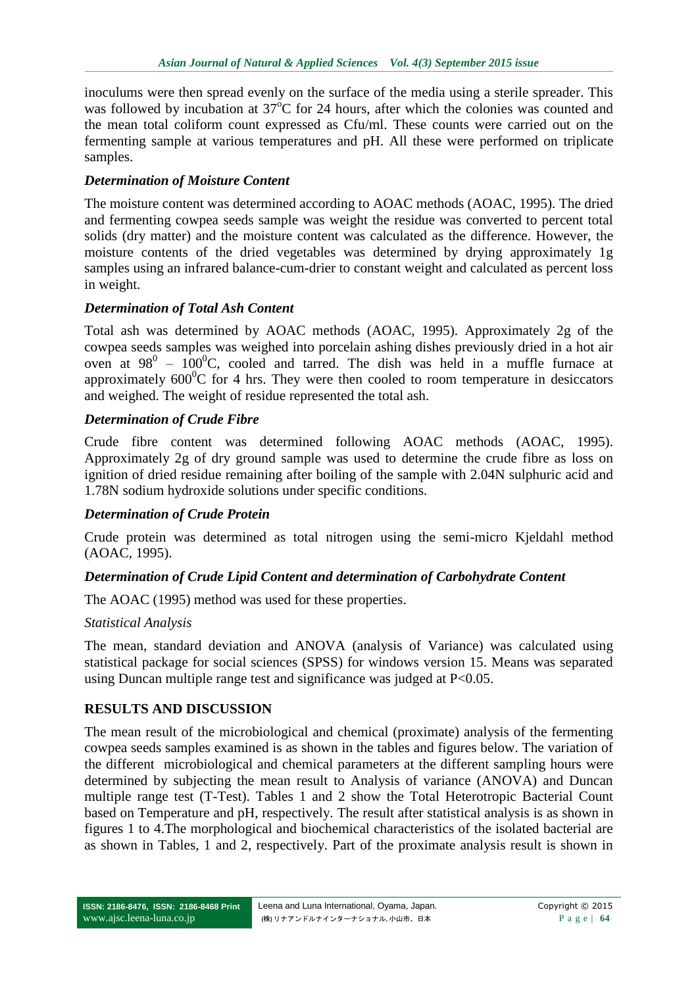inoculums were then spread evenly on the surface of the media using a sterile spreader. This was followed by incubation at  $37^{\circ}$ C for 24 hours, after which the colonies was counted and the mean total coliform count expressed as Cfu/ml. These counts were carried out on the fermenting sample at various temperatures and pH. All these were performed on triplicate samples.

## *Determination of Moisture Content*

The moisture content was determined according to AOAC methods (AOAC, 1995). The dried and fermenting cowpea seeds sample was weight the residue was converted to percent total solids (dry matter) and the moisture content was calculated as the difference. However, the moisture contents of the dried vegetables was determined by drying approximately 1g samples using an infrared balance-cum-drier to constant weight and calculated as percent loss in weight.

### *Determination of Total Ash Content*

Total ash was determined by AOAC methods (AOAC, 1995). Approximately 2g of the cowpea seeds samples was weighed into porcelain ashing dishes previously dried in a hot air oven at  $98^0$  –  $100^0$ C, cooled and tarred. The dish was held in a muffle furnace at approximately  $600^{\circ}$ C for 4 hrs. They were then cooled to room temperature in desiccators and weighed. The weight of residue represented the total ash.

### *Determination of Crude Fibre*

Crude fibre content was determined following AOAC methods (AOAC, 1995). Approximately 2g of dry ground sample was used to determine the crude fibre as loss on ignition of dried residue remaining after boiling of the sample with 2.04N sulphuric acid and 1.78N sodium hydroxide solutions under specific conditions.

#### *Determination of Crude Protein*

Crude protein was determined as total nitrogen using the semi-micro Kjeldahl method (AOAC, 1995).

#### *Determination of Crude Lipid Content and determination of Carbohydrate Content*

The AOAC (1995) method was used for these properties.

#### *Statistical Analysis*

The mean, standard deviation and ANOVA (analysis of Variance) was calculated using statistical package for social sciences (SPSS) for windows version 15. Means was separated using Duncan multiple range test and significance was judged at P<0.05.

#### **RESULTS AND DISCUSSION**

The mean result of the microbiological and chemical (proximate) analysis of the fermenting cowpea seeds samples examined is as shown in the tables and figures below. The variation of the different microbiological and chemical parameters at the different sampling hours were determined by subjecting the mean result to Analysis of variance (ANOVA) and Duncan multiple range test (T-Test). Tables 1 and 2 show the Total Heterotropic Bacterial Count based on Temperature and pH, respectively. The result after statistical analysis is as shown in figures 1 to 4.The morphological and biochemical characteristics of the isolated bacterial are as shown in Tables, 1 and 2, respectively. Part of the proximate analysis result is shown in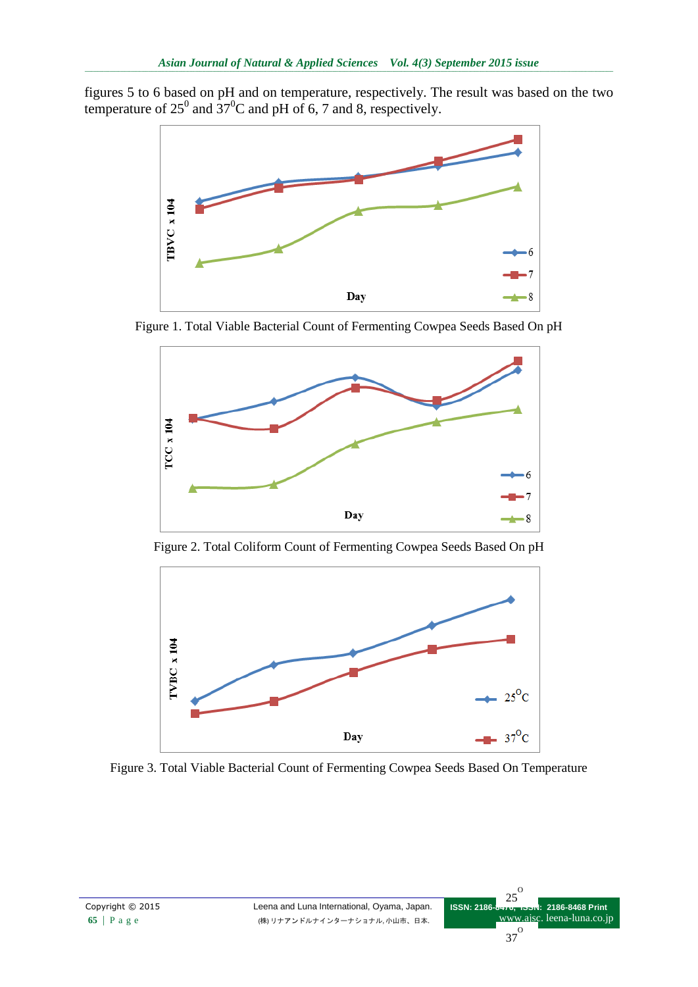figures 5 to 6 based on pH and on temperature, respectively. The result was based on the two temperature of  $25^0$  and  $37^0C$  and pH of 6, 7 and 8, respectively.



Figure 1. Total Viable Bacterial Count of Fermenting Cowpea Seeds Based On pH



Figure 2. Total Coliform Count of Fermenting Cowpea Seeds Based On pH



Figure 3. Total Viable Bacterial Count of Fermenting Cowpea Seeds Based On Temperature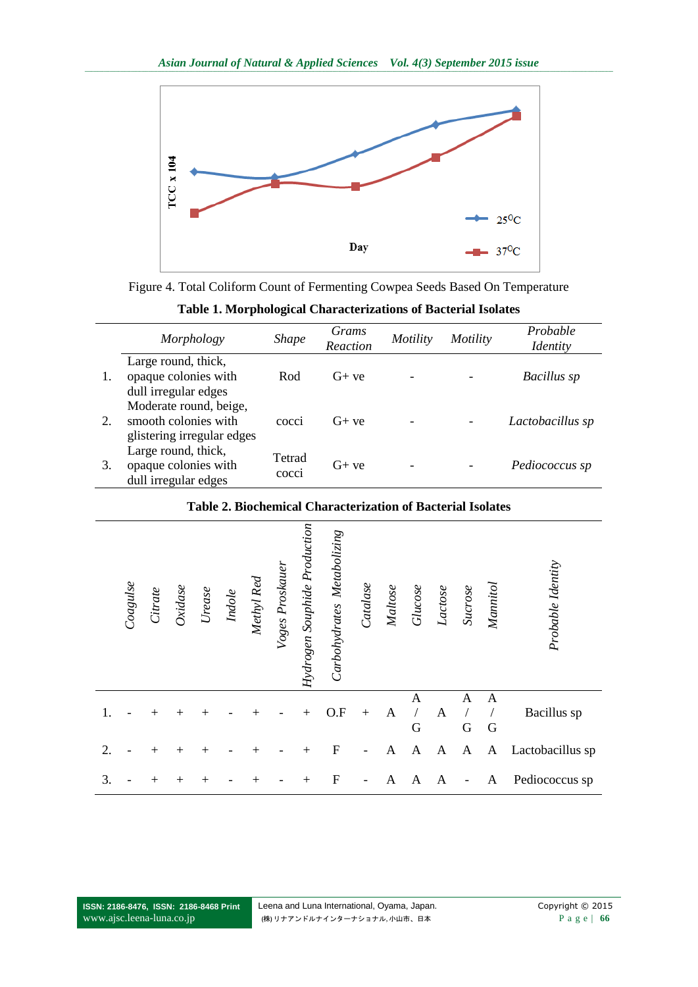

Figure 4. Total Coliform Count of Fermenting Cowpea Seeds Based On Temperature

**Table 1. Morphological Characterizations of Bacterial Isolates**

|    | Morphology                                                                   | <i>Shape</i>    | Grams<br>Reaction | Motility | Motility | Probable<br><i>Identity</i> |
|----|------------------------------------------------------------------------------|-----------------|-------------------|----------|----------|-----------------------------|
|    | Large round, thick,<br>opaque colonies with<br>dull irregular edges          | Rod             | $G+ve$            |          |          | Bacillus sp                 |
| 2. | Moderate round, beige,<br>smooth colonies with<br>glistering irregular edges | cocci           | $G+ve$            |          |          | Lactobacillus sp            |
| 3. | Large round, thick,<br>opaque colonies with<br>dull irregular edges          | Tetrad<br>cocci | $G+ve$            |          |          | Pediococcus sp              |

## **Table 2. Biochemical Characterization of Bacterial Isolates**

|    | Coagulse | Citrate            | Oxidase            | $\label{eq:rel} \textit{Ureeze}$ | Indole | Methyl Red | Voges Proskauer | Hydrogen Souphide Production | Carbohydrates Metabolizing | Catalase | Maltose      | Glucose      | Lactose | Sucrose          | Mannitol | Probable Identity |
|----|----------|--------------------|--------------------|----------------------------------|--------|------------|-----------------|------------------------------|----------------------------|----------|--------------|--------------|---------|------------------|----------|-------------------|
| 1. |          | $^+$               | $\hspace{0.1mm} +$ | $\,+\,$                          |        | $^+$       |                 | $\overline{+}$               | O.F                        | $+$      | A            | A<br>G       | A       | A<br>$\mathbf G$ | A<br>G   | Bacillus sp       |
| 2. |          | $\hspace{0.1mm} +$ | $\ddot{}$          | $\overline{+}$                   |        | $\,+\,$    |                 | $\overline{+}$               | $\mathbf F$                |          | $\mathbf{A}$ | $\mathbf{A}$ | A       | A                | A        | Lactobacillus sp  |
| 3. |          | $^+$               | $\hspace{0.1mm} +$ | $^+$                             |        | $\,+\,$    |                 | $\overline{+}$               | $\mathbf F$                |          | A            | A            | А       |                  | A        | Pediococcus sp    |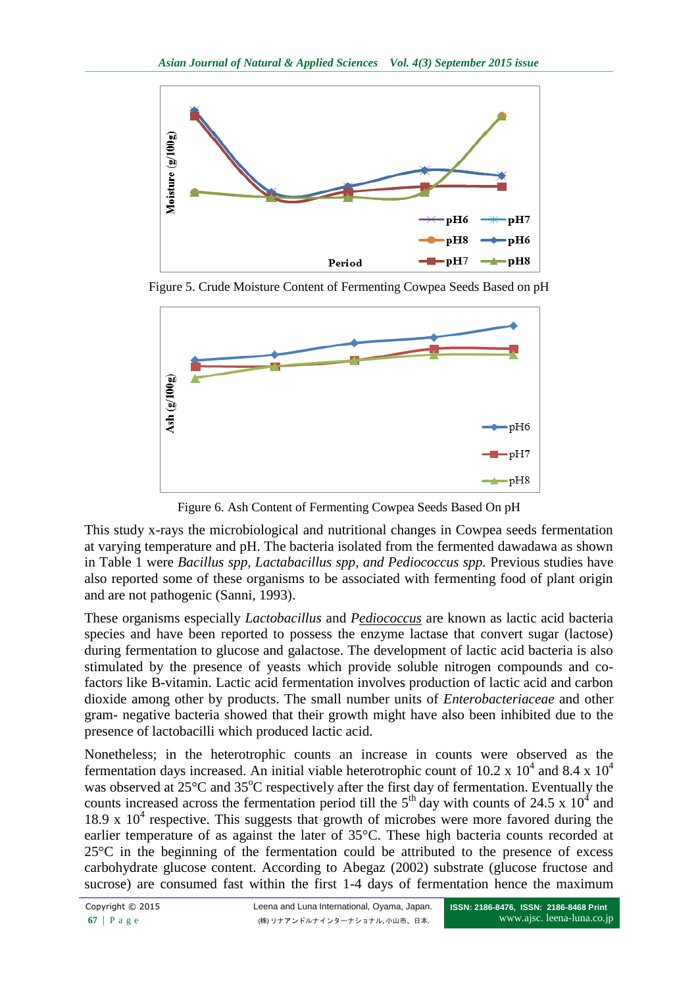

Figure 5. Crude Moisture Content of Fermenting Cowpea Seeds Based on pH



Figure 6. Ash Content of Fermenting Cowpea Seeds Based On pH

This study x-rays the microbiological and nutritional changes in Cowpea seeds fermentation at varying temperature and pH. The bacteria isolated from the fermented dawadawa as shown in Table 1 were *Bacillus spp, Lactabacillus spp, and Pediococcus spp.* Previous studies have also reported some of these organisms to be associated with fermenting food of plant origin and are not pathogenic (Sanni, 1993).

These organisms especially *Lactobacillus* and *Pediococcus* are known as lactic acid bacteria species and have been reported to possess the enzyme lactase that convert sugar (lactose) during fermentation to glucose and galactose. The development of lactic acid bacteria is also stimulated by the presence of yeasts which provide soluble nitrogen compounds and cofactors like B-vitamin. Lactic acid fermentation involves production of lactic acid and carbon dioxide among other by products. The small number units of *Enterobacteriaceae* and other gram- negative bacteria showed that their growth might have also been inhibited due to the presence of lactobacilli which produced lactic acid.

Nonetheless; in the heterotrophic counts an increase in counts were observed as the fermentation days increased. An initial viable heterotrophic count of 10.2 x  $10^4$  and 8.4 x  $10^4$ was observed at  $25^{\circ}$ C and  $35^{\circ}$ C respectively after the first day of fermentation. Eventually the counts increased across the fermentation period till the  $5<sup>th</sup>$  day with counts of 24.5 x 10<sup>4</sup> and 18.9 x  $10<sup>4</sup>$  respective. This suggests that growth of microbes were more favored during the earlier temperature of as against the later of 35°C. These high bacteria counts recorded at 25°C in the beginning of the fermentation could be attributed to the presence of excess carbohydrate glucose content. According to Abegaz (2002) substrate (glucose fructose and sucrose) are consumed fast within the first 1-4 days of fermentation hence the maximum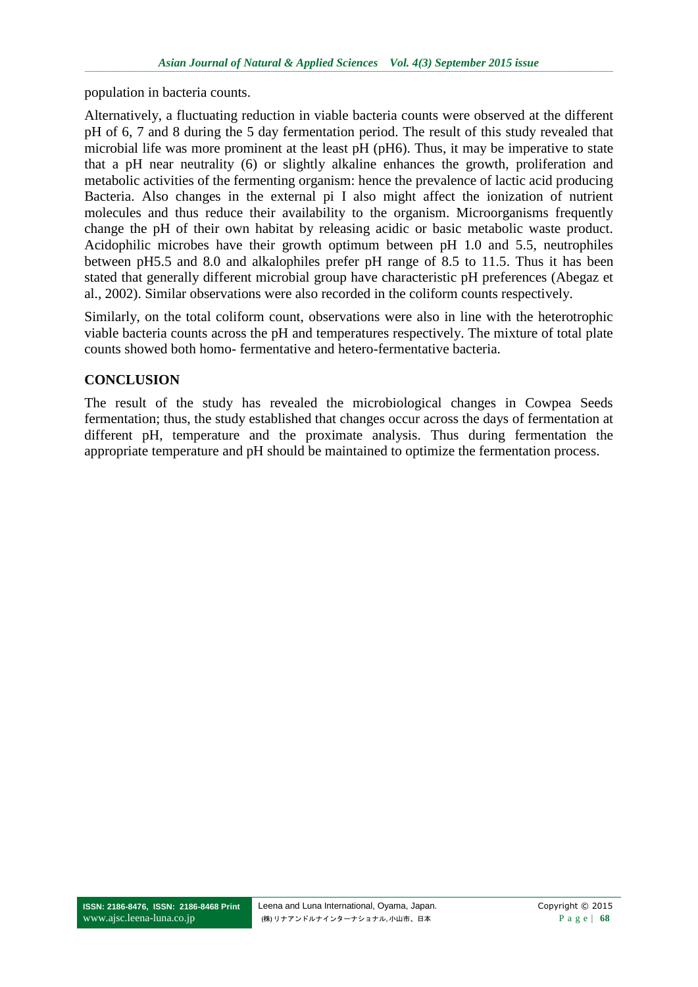population in bacteria counts.

Alternatively, a fluctuating reduction in viable bacteria counts were observed at the different pH of 6, 7 and 8 during the 5 day fermentation period. The result of this study revealed that microbial life was more prominent at the least pH (pH6). Thus, it may be imperative to state that a pH near neutrality (6) or slightly alkaline enhances the growth, proliferation and metabolic activities of the fermenting organism: hence the prevalence of lactic acid producing Bacteria. Also changes in the external pi I also might affect the ionization of nutrient molecules and thus reduce their availability to the organism. Microorganisms frequently change the pH of their own habitat by releasing acidic or basic metabolic waste product. Acidophilic microbes have their growth optimum between pH 1.0 and 5.5, neutrophiles between pH5.5 and 8.0 and alkalophiles prefer pH range of 8.5 to 11.5. Thus it has been stated that generally different microbial group have characteristic pH preferences (Abegaz et al., 2002). Similar observations were also recorded in the coliform counts respectively.

Similarly, on the total coliform count, observations were also in line with the heterotrophic viable bacteria counts across the pH and temperatures respectively. The mixture of total plate counts showed both homo- fermentative and hetero-fermentative bacteria.

## **CONCLUSION**

The result of the study has revealed the microbiological changes in Cowpea Seeds fermentation; thus, the study established that changes occur across the days of fermentation at different pH, temperature and the proximate analysis. Thus during fermentation the appropriate temperature and pH should be maintained to optimize the fermentation process.